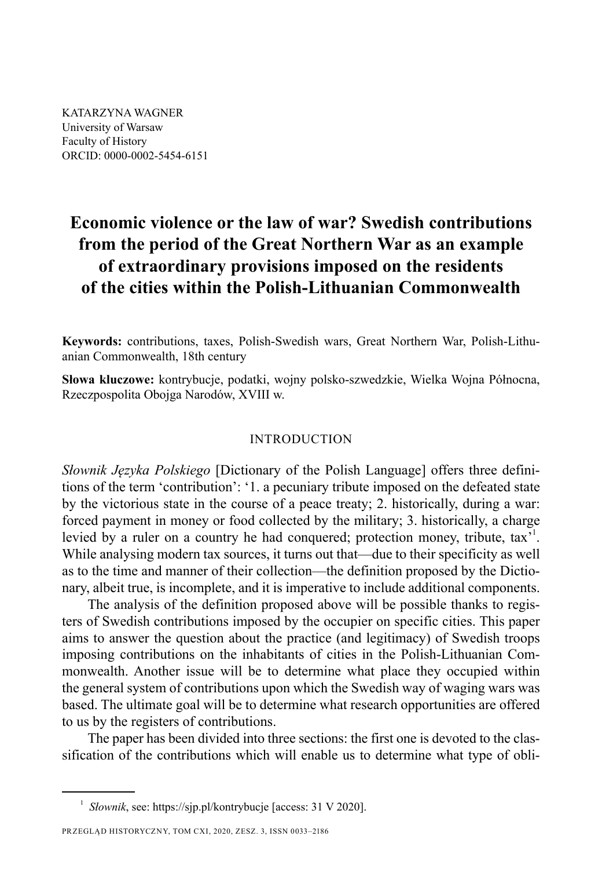KATARZYNA WAGNER University of Warsaw Faculty of History ORCID: 0000-0002-5454-6151

# **Economic violence or the law of war? Swedish contributions from the period of the Great Northern War as an example of extraordinary provisions imposed on the residents of the cities within the Polish-Lithuanian Commonwealth**

**Keywords:** contributions, taxes, Polish-Swedish wars, Great Northern War, Polish-Lithuanian Commonwealth, 18th century

**Słowa kluczowe:** kontrybucje, podatki, wojny polsko-szwedzkie, Wielka Wojna Północna, Rzeczpospolita Obojga Narodów, XVIII w.

## INTRODUCTION

*Słownik Języka Polskiego* [Dictionary of the Polish Language] offers three definitions of the term 'contribution': '1. a pecuniary tribute imposed on the defeated state by the victorious state in the course of a peace treaty; 2. historically, during a war: forced payment in money or food collected by the military; 3. historically, a charge levied by a ruler on a country he had conquered; protection money, tribute, tax<sup>31</sup>. While analysing modern tax sources, it turns out that—due to their specificity as well as to the time and manner of their collection—the definition proposed by the Dictionary, albeit true, is incomplete, and it is imperative to include additional components.

The analysis of the definition proposed above will be possible thanks to registers of Swedish contributions imposed by the occupier on specific cities. This paper aims to answer the question about the practice (and legitimacy) of Swedish troops imposing contributions on the inhabitants of cities in the Polish-Lithuanian Commonwealth. Another issue will be to determine what place they occupied within the general system of contributions upon which the Swedish way of waging wars was based. The ultimate goal will be to determine what research opportunities are offered to us by the registers of contributions.

The paper has been divided into three sections: the first one is devoted to the classification of the contributions which will enable us to determine what type of obli-

<sup>1</sup> *Słownik*, see: https://sjp.pl/kontrybucje [access: 31 V 2020].

PRZEGLĄD HISTORYCZNY, TOM CXI, 2020, ZESZ. 3, ISSN 0033–2186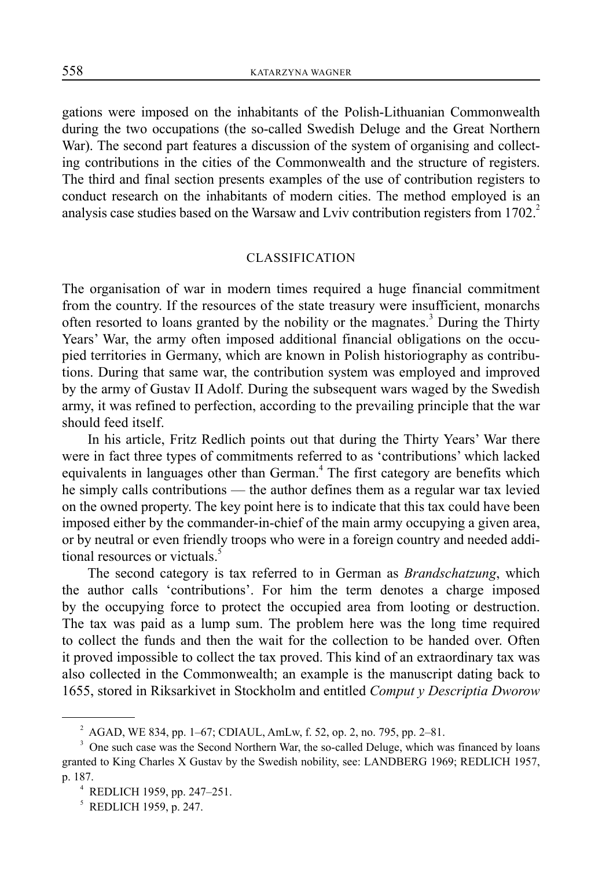gations were imposed on the inhabitants of the Polish-Lithuanian Commonwealth during the two occupations (the so-called Swedish Deluge and the Great Northern War). The second part features a discussion of the system of organising and collecting contributions in the cities of the Commonwealth and the structure of registers. The third and final section presents examples of the use of contribution registers to conduct research on the inhabitants of modern cities. The method employed is an analysis case studies based on the Warsaw and Lviv contribution registers from  $1702<sup>2</sup>$ 

## CLASSIFICATION

The organisation of war in modern times required a huge financial commitment from the country. If the resources of the state treasury were insufficient, monarchs often resorted to loans granted by the nobility or the magnates.<sup>3</sup> During the Thirty Years' War, the army often imposed additional financial obligations on the occupied territories in Germany, which are known in Polish historiography as contributions. During that same war, the contribution system was employed and improved by the army of Gustav II Adolf. During the subsequent wars waged by the Swedish army, it was refined to perfection, according to the prevailing principle that the war should feed itself.

In his article, Fritz Redlich points out that during the Thirty Years' War there were in fact three types of commitments referred to as 'contributions' which lacked equivalents in languages other than German.<sup>4</sup> The first category are benefits which he simply calls contributions — the author defines them as a regular war tax levied on the owned property. The key point here is to indicate that this tax could have been imposed either by the commander-in-chief of the main army occupying a given area, or by neutral or even friendly troops who were in a foreign country and needed additional resources or victuals.<sup>5</sup>

The second category is tax referred to in German as *Brandschatzung*, which the author calls 'contributions'. For him the term denotes a charge imposed by the occupying force to protect the occupied area from looting or destruction. The tax was paid as a lump sum. The problem here was the long time required to collect the funds and then the wait for the collection to be handed over. Often it proved impossible to collect the tax proved. This kind of an extraordinary tax was also collected in the Commonwealth; an example is the manuscript dating back to 1655, stored in Riksarkivet in Stockholm and entitled *Comput y Descriptia Dworow* 

 $^{2}$  AGAD, WE 834, pp. 1–67; CDIAUL, AmLw, f. 52, op. 2, no. 795, pp. 2–81.

<sup>&</sup>lt;sup>3</sup> One such case was the Second Northern War, the so-called Deluge, which was financed by loans granted to King Charles X Gustav by the Swedish nobility, see: LANDBERG 1969; REDLICH 1957, p. 187. 4

 $4$  REDLICH 1959, pp. 247–251.

<sup>5</sup> REDLICH 1959, p. 247.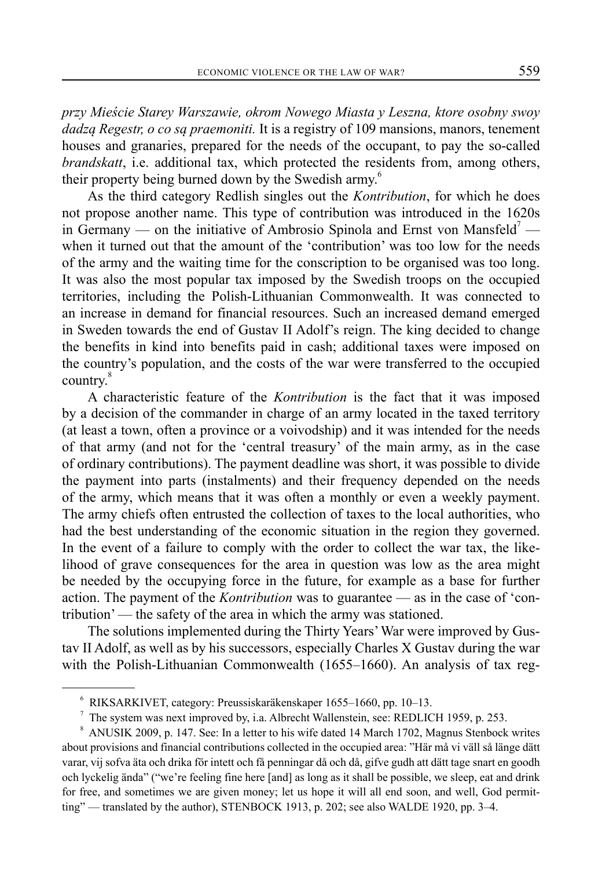*przy Mieście Starey Warszawie, okrom Nowego Miasta y Leszna, ktore osobny swoy dadzą Regestr, o co są praemoniti.* It is a registry of 109 mansions, manors, tenement houses and granaries, prepared for the needs of the occupant, to pay the so-called *brandskatt*, i.e. additional tax, which protected the residents from, among others, their property being burned down by the Swedish army.<sup>6</sup>

As the third category Redlish singles out the *Kontribution*, for which he does not propose another name. This type of contribution was introduced in the 1620s in Germany — on the initiative of Ambrosio Spinola and Ernst von Mansfeld<sup>7</sup> when it turned out that the amount of the 'contribution' was too low for the needs of the army and the waiting time for the conscription to be organised was too long. It was also the most popular tax imposed by the Swedish troops on the occupied territories, including the Polish-Lithuanian Commonwealth. It was connected to an increase in demand for financial resources. Such an increased demand emerged in Sweden towards the end of Gustav II Adolf's reign. The king decided to change the benefits in kind into benefits paid in cash; additional taxes were imposed on the country's population, and the costs of the war were transferred to the occupied country.<sup>8</sup>

A characteristic feature of the *Kontribution* is the fact that it was imposed by a decision of the commander in charge of an army located in the taxed territory (at least a town, often a province or a voivodship) and it was intended for the needs of that army (and not for the 'central treasury' of the main army, as in the case of ordinary contributions). The payment deadline was short, it was possible to divide the payment into parts (instalments) and their frequency depended on the needs of the army, which means that it was often a monthly or even a weekly payment. The army chiefs often entrusted the collection of taxes to the local authorities, who had the best understanding of the economic situation in the region they governed. In the event of a failure to comply with the order to collect the war tax, the likelihood of grave consequences for the area in question was low as the area might be needed by the occupying force in the future, for example as a base for further action. The payment of the *Kontribution* was to guarantee — as in the case of 'contribution' — the safety of the area in which the army was stationed.

The solutions implemented during the Thirty Years' War were improved by Gustav II Adolf, as well as by his successors, especially Charles X Gustav during the war with the Polish-Lithuanian Commonwealth (1655–1660). An analysis of tax reg-

<sup>6</sup> RIKSARKIVET, category: Preussiskaräkenskaper 1655–1660, pp. 10–13.

<sup>7</sup> The system was next improved by, i.a. Albrecht Wallenstein, see: REDLICH 1959, p. 253.

<sup>&</sup>lt;sup>8</sup> ANUSIK 2009, p. 147. See: In a letter to his wife dated 14 March 1702, Magnus Stenbock writes about provisions and financial contributions collected in the occupied area: "Här må vi väll så länge dätt varar, vij sofva äta och drika för intett och få penningar då och då, gifve gudh att dätt tage snart en goodh och lyckelig ända" ("we're feeling fine here [and] as long as it shall be possible, we sleep, eat and drink for free, and sometimes we are given money; let us hope it will all end soon, and well, God permitting" — translated by the author), STENBOCK 1913, p. 202; see also WALDE 1920, pp. 3–4.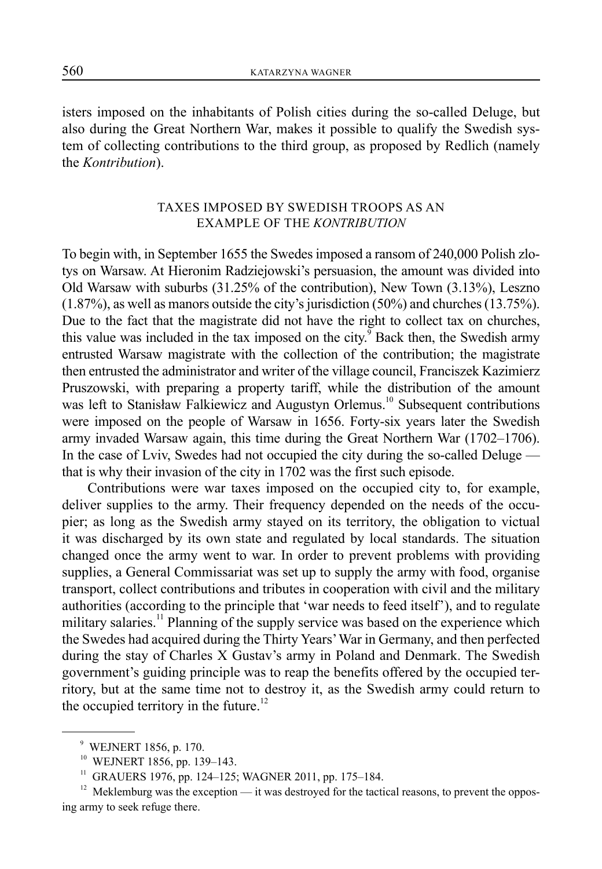isters imposed on the inhabitants of Polish cities during the so-called Deluge, but also during the Great Northern War, makes it possible to qualify the Swedish system of collecting contributions to the third group, as proposed by Redlich (namely the *Kontribution*).

# TAXES IMPOSED BY SWEDISH TROOPS AS AN EXAMPLE OF THE *KONTRIBUTION*

To begin with, in September 1655 the Swedes imposed a ransom of 240,000 Polish zlotys on Warsaw. At Hieronim Radziejowski's persuasion, the amount was divided into Old Warsaw with suburbs (31.25% of the contribution), New Town (3.13%), Leszno (1.87%), as well as manors outside the city's jurisdiction (50%) and churches (13.75%). Due to the fact that the magistrate did not have the right to collect tax on churches, this value was included in the tax imposed on the city.<sup>9</sup> Back then, the Swedish army entrusted Warsaw magistrate with the collection of the contribution; the magistrate then entrusted the administrator and writer of the village council, Franciszek Kazimierz Pruszowski, with preparing a property tariff, while the distribution of the amount was left to Stanisław Falkiewicz and Augustyn Orlemus.<sup>10</sup> Subsequent contributions were imposed on the people of Warsaw in 1656. Forty-six years later the Swedish army invaded Warsaw again, this time during the Great Northern War (1702–1706). In the case of Lviv, Swedes had not occupied the city during the so-called Deluge that is why their invasion of the city in 1702 was the first such episode.

Contributions were war taxes imposed on the occupied city to, for example, deliver supplies to the army. Their frequency depended on the needs of the occupier; as long as the Swedish army stayed on its territory, the obligation to victual it was discharged by its own state and regulated by local standards. The situation changed once the army went to war. In order to prevent problems with providing supplies, a General Commissariat was set up to supply the army with food, organise transport, collect contributions and tributes in cooperation with civil and the military authorities (according to the principle that 'war needs to feed itself'), and to regulate military salaries.<sup>11</sup> Planning of the supply service was based on the experience which the Swedes had acquired during the Thirty Years' War in Germany, and then perfected during the stay of Charles X Gustav's army in Poland and Denmark. The Swedish government's guiding principle was to reap the benefits offered by the occupied territory, but at the same time not to destroy it, as the Swedish army could return to the occupied territory in the future. $^{12}$ 

<sup>9</sup> WEJNERT 1856, p. 170.

<sup>10</sup> WEJNERT 1856, pp. 139–143.

<sup>&</sup>lt;sup>11</sup> GRAUERS 1976, pp. 124-125; WAGNER 2011, pp. 175-184.

 $12$  Meklemburg was the exception — it was destroyed for the tactical reasons, to prevent the opposing army to seek refuge there.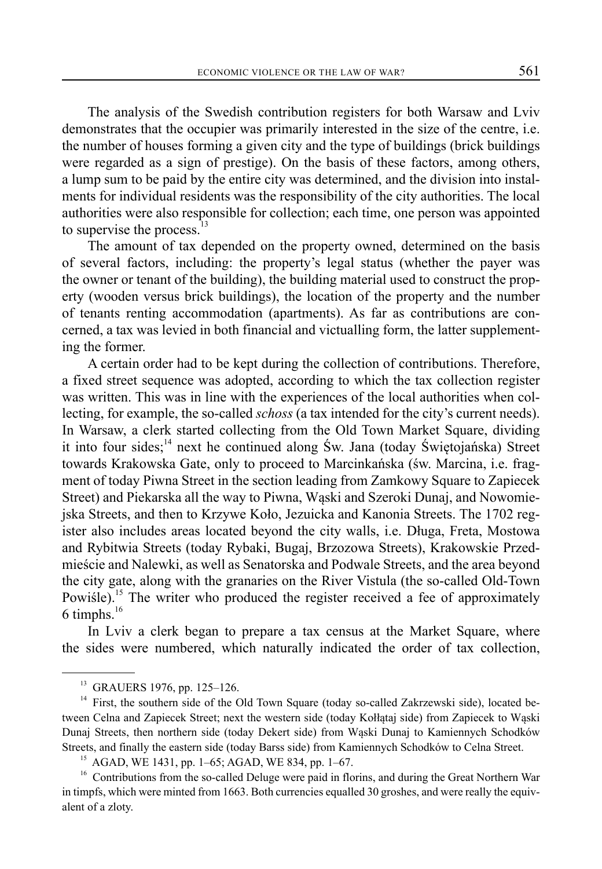The analysis of the Swedish contribution registers for both Warsaw and Lviv demonstrates that the occupier was primarily interested in the size of the centre, i.e. the number of houses forming a given city and the type of buildings (brick buildings were regarded as a sign of prestige). On the basis of these factors, among others, a lump sum to be paid by the entire city was determined, and the division into instalments for individual residents was the responsibility of the city authorities. The local authorities were also responsible for collection; each time, one person was appointed to supervise the process. $13$ 

The amount of tax depended on the property owned, determined on the basis of several factors, including: the property's legal status (whether the payer was the owner or tenant of the building), the building material used to construct the property (wooden versus brick buildings), the location of the property and the number of tenants renting accommodation (apartments). As far as contributions are concerned, a tax was levied in both financial and victualling form, the latter supplementing the former.

A certain order had to be kept during the collection of contributions. Therefore, a fixed street sequence was adopted, according to which the tax collection register was written. This was in line with the experiences of the local authorities when collecting, for example, the so-called *schoss* (a tax intended for the city's current needs). In Warsaw, a clerk started collecting from the Old Town Market Square, dividing it into four sides;<sup>14</sup> next he continued along Św. Jana (today Świętojańska) Street towards Krakowska Gate, only to proceed to Marcinkańska (św. Marcina, i.e. fragment of today Piwna Street in the section leading from Zamkowy Square to Zapiecek Street) and Piekarska all the way to Piwna, Wąski and Szeroki Dunaj, and Nowomiejska Streets, and then to Krzywe Koło, Jezuicka and Kanonia Streets. The 1702 register also includes areas located beyond the city walls, i.e. Długa, Freta, Mostowa and Rybitwia Streets (today Rybaki, Bugaj, Brzozowa Streets), Krakowskie Przedmieście and Nalewki, as well as Senatorska and Podwale Streets, and the area beyond the city gate, along with the granaries on the River Vistula (the so-called Old-Town Powiśle).<sup>15</sup> The writer who produced the register received a fee of approximately 6 timphs. $16$ 

In Lviv a clerk began to prepare a tax census at the Market Square, where the sides were numbered, which naturally indicated the order of tax collection,

<sup>&</sup>lt;sup>13</sup> GRAUERS 1976, pp. 125-126.

<sup>&</sup>lt;sup>14</sup> First, the southern side of the Old Town Square (today so-called Zakrzewski side), located between Celna and Zapiecek Street; next the western side (today Kołłątaj side) from Zapiecek to Wąski Dunaj Streets, then northern side (today Dekert side) from Wąski Dunaj to Kamiennych Schodków Streets, and finally the eastern side (today Barss side) from Kamiennych Schodków to Celna Street.

<sup>15</sup> AGAD, WE 1431, pp. 1–65; AGAD, WE 834, pp. 1–67.

<sup>&</sup>lt;sup>16</sup> Contributions from the so-called Deluge were paid in florins, and during the Great Northern War in timpfs, which were minted from 1663. Both currencies equalled 30 groshes, and were really the equivalent of a zloty.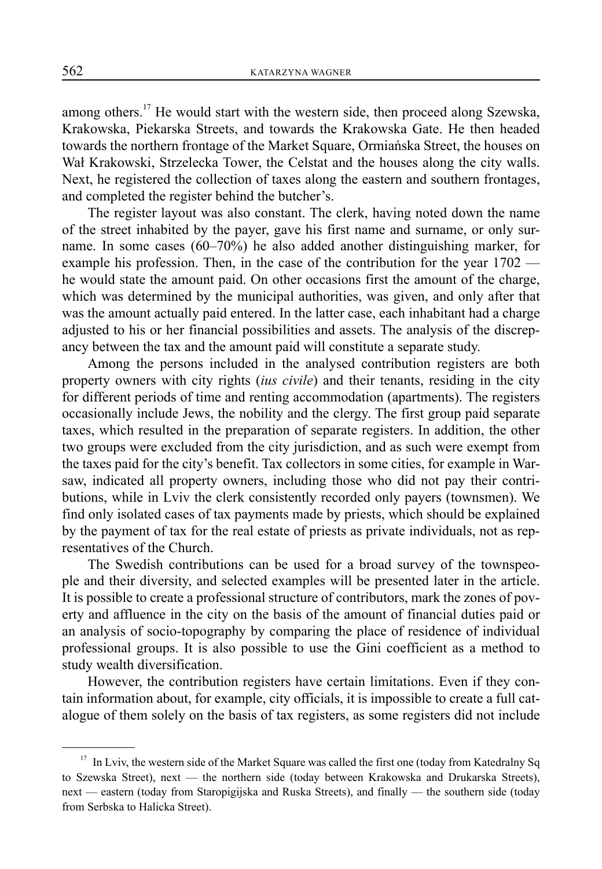among others.<sup>17</sup> He would start with the western side, then proceed along Szewska, Krakowska, Piekarska Streets, and towards the Krakowska Gate. He then headed towards the northern frontage of the Market Square, Ormiańska Street, the houses on Wał Krakowski, Strzelecka Tower, the Celstat and the houses along the city walls. Next, he registered the collection of taxes along the eastern and southern frontages, and completed the register behind the butcher's.

The register layout was also constant. The clerk, having noted down the name of the street inhabited by the payer, gave his first name and surname, or only surname. In some cases (60–70%) he also added another distinguishing marker, for example his profession. Then, in the case of the contribution for the year 1702 he would state the amount paid. On other occasions first the amount of the charge, which was determined by the municipal authorities, was given, and only after that was the amount actually paid entered. In the latter case, each inhabitant had a charge adjusted to his or her financial possibilities and assets. The analysis of the discrepancy between the tax and the amount paid will constitute a separate study.

Among the persons included in the analysed contribution registers are both property owners with city rights (*ius civile*) and their tenants, residing in the city for different periods of time and renting accommodation (apartments). The registers occasionally include Jews, the nobility and the clergy. The first group paid separate taxes, which resulted in the preparation of separate registers. In addition, the other two groups were excluded from the city jurisdiction, and as such were exempt from the taxes paid for the city's benefit. Tax collectors in some cities, for example in Warsaw, indicated all property owners, including those who did not pay their contributions, while in Lviv the clerk consistently recorded only payers (townsmen). We find only isolated cases of tax payments made by priests, which should be explained by the payment of tax for the real estate of priests as private individuals, not as representatives of the Church.

The Swedish contributions can be used for a broad survey of the townspeople and their diversity, and selected examples will be presented later in the article. It is possible to create a professional structure of contributors, mark the zones of poverty and affluence in the city on the basis of the amount of financial duties paid or an analysis of socio-topography by comparing the place of residence of individual professional groups. It is also possible to use the Gini coefficient as a method to study wealth diversification.

However, the contribution registers have certain limitations. Even if they contain information about, for example, city officials, it is impossible to create a full catalogue of them solely on the basis of tax registers, as some registers did not include

<sup>&</sup>lt;sup>17</sup> In Lviv, the western side of the Market Square was called the first one (today from Katedralny Sq to Szewska Street), next — the northern side (today between Krakowska and Drukarska Streets), next — eastern (today from Staropigijska and Ruska Streets), and finally — the southern side (today from Serbska to Halicka Street).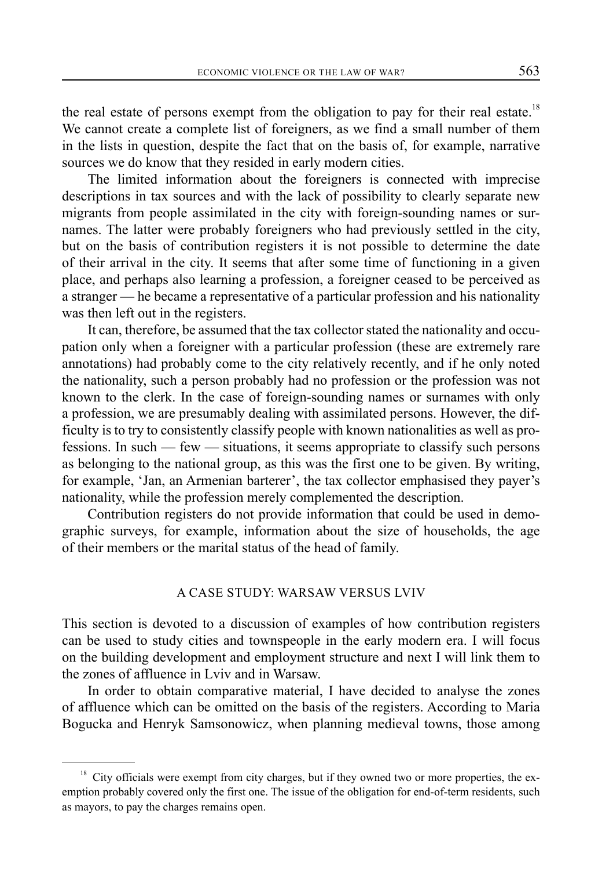the real estate of persons exempt from the obligation to pay for their real estate.<sup>18</sup> We cannot create a complete list of foreigners, as we find a small number of them in the lists in question, despite the fact that on the basis of, for example, narrative sources we do know that they resided in early modern cities.

The limited information about the foreigners is connected with imprecise descriptions in tax sources and with the lack of possibility to clearly separate new migrants from people assimilated in the city with foreign-sounding names or surnames. The latter were probably foreigners who had previously settled in the city, but on the basis of contribution registers it is not possible to determine the date of their arrival in the city. It seems that after some time of functioning in a given place, and perhaps also learning a profession, a foreigner ceased to be perceived as a stranger — he became a representative of a particular profession and his nationality was then left out in the registers.

It can, therefore, be assumed that the tax collector stated the nationality and occupation only when a foreigner with a particular profession (these are extremely rare annotations) had probably come to the city relatively recently, and if he only noted the nationality, such a person probably had no profession or the profession was not known to the clerk. In the case of foreign-sounding names or surnames with only a profession, we are presumably dealing with assimilated persons. However, the difficulty is to try to consistently classify people with known nationalities as well as professions. In such — few — situations, it seems appropriate to classify such persons as belonging to the national group, as this was the first one to be given. By writing, for example, 'Jan, an Armenian barterer', the tax collector emphasised they payer's nationality, while the profession merely complemented the description.

Contribution registers do not provide information that could be used in demographic surveys, for example, information about the size of households, the age of their members or the marital status of the head of family.

# A CASE STUDY: WARSAW VERSUS LVIV

This section is devoted to a discussion of examples of how contribution registers can be used to study cities and townspeople in the early modern era. I will focus on the building development and employment structure and next I will link them to the zones of affluence in Lviv and in Warsaw.

In order to obtain comparative material, I have decided to analyse the zones of affluence which can be omitted on the basis of the registers. According to Maria Bogucka and Henryk Samsonowicz, when planning medieval towns, those among

<sup>&</sup>lt;sup>18</sup> City officials were exempt from city charges, but if they owned two or more properties, the exemption probably covered only the first one. The issue of the obligation for end-of-term residents, such as mayors, to pay the charges remains open.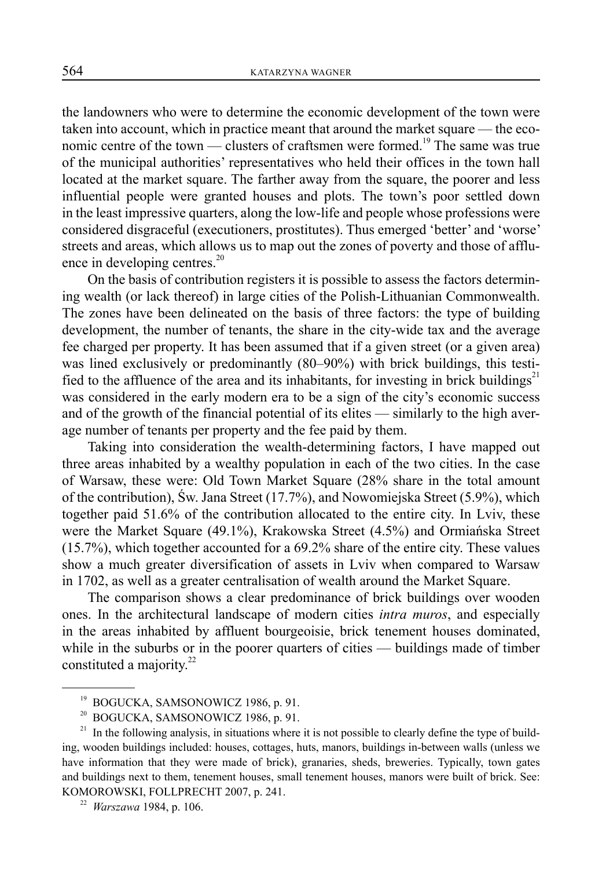the landowners who were to determine the economic development of the town were taken into account, which in practice meant that around the market square — the economic centre of the town — clusters of craftsmen were formed.<sup>19</sup> The same was true of the municipal authorities' representatives who held their offices in the town hall located at the market square. The farther away from the square, the poorer and less influential people were granted houses and plots. The town's poor settled down in the least impressive quarters, along the low-life and people whose professions were considered disgraceful (executioners, prostitutes). Thus emerged 'better' and 'worse' streets and areas, which allows us to map out the zones of poverty and those of affluence in developing centres. $^{20}$ 

On the basis of contribution registers it is possible to assess the factors determining wealth (or lack thereof) in large cities of the Polish-Lithuanian Commonwealth. The zones have been delineated on the basis of three factors: the type of building development, the number of tenants, the share in the city-wide tax and the average fee charged per property. It has been assumed that if a given street (or a given area) was lined exclusively or predominantly (80–90%) with brick buildings, this testified to the affluence of the area and its inhabitants, for investing in brick buildings<sup>21</sup> was considered in the early modern era to be a sign of the city's economic success and of the growth of the financial potential of its elites — similarly to the high average number of tenants per property and the fee paid by them.

Taking into consideration the wealth-determining factors, I have mapped out three areas inhabited by a wealthy population in each of the two cities. In the case of Warsaw, these were: Old Town Market Square (28% share in the total amount of the contribution), Św. Jana Street (17.7%), and Nowomiejska Street (5.9%), which together paid 51.6% of the contribution allocated to the entire city. In Lviv, these were the Market Square (49.1%), Krakowska Street (4.5%) and Ormiańska Street (15.7%), which together accounted for a 69.2% share of the entire city. These values show a much greater diversification of assets in Lviv when compared to Warsaw in 1702, as well as a greater centralisation of wealth around the Market Square.

The comparison shows a clear predominance of brick buildings over wooden ones. In the architectural landscape of modern cities *intra muros*, and especially in the areas inhabited by affluent bourgeoisie, brick tenement houses dominated, while in the suburbs or in the poorer quarters of cities — buildings made of timber constituted a majority.<sup>22</sup>

 $^{19}$  BOGUCKA, SAMSONOWICZ 1986, p. 91.<br> $^{20}$  BOGUCKA, SAMSONOWICZ 1986, p. 91.

<sup>20</sup> BOGUCKA, SAMSONOWICZ 1986, p. 91.

<sup>&</sup>lt;sup>21</sup> In the following analysis, in situations where it is not possible to clearly define the type of building, wooden buildings included: houses, cottages, huts, manors, buildings in-between walls (unless we have information that they were made of brick), granaries, sheds, breweries. Typically, town gates and buildings next to them, tenement houses, small tenement houses, manors were built of brick. See: KOMOROWSKI, FOLLPRECHT 2007, p. 241.

<sup>22</sup> *Warszawa* 1984, p. 106.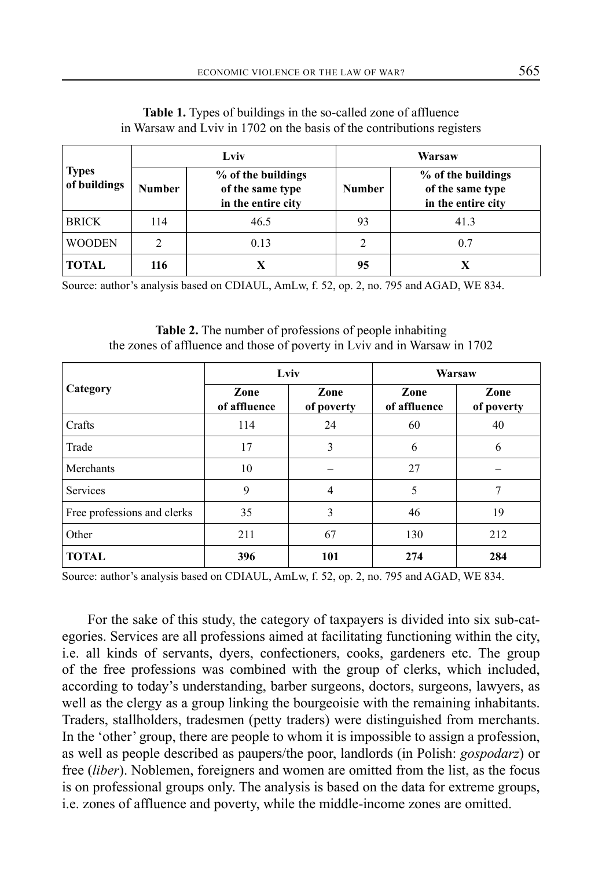|                              | Lviv          |                                                              | Warsaw        |                                                              |  |
|------------------------------|---------------|--------------------------------------------------------------|---------------|--------------------------------------------------------------|--|
| <b>Types</b><br>of buildings | <b>Number</b> | % of the buildings<br>of the same type<br>in the entire city | <b>Number</b> | % of the buildings<br>of the same type<br>in the entire city |  |
| <b>BRICK</b>                 | 114           | 46.5                                                         | 93            | 41.3                                                         |  |
| <b>WOODEN</b>                |               | 0.13                                                         |               | 0.7                                                          |  |
| TOTAL                        | 116           |                                                              | 95            |                                                              |  |

**Table 1.** Types of buildings in the so-called zone of affluence in Warsaw and Lviv in 1702 on the basis of the contributions registers

Source: author's analysis based on CDIAUL, AmLw, f. 52, op. 2, no. 795 and AGAD, WE 834.

**Table 2.** The number of professions of people inhabiting the zones of affluence and those of poverty in Lviv and in Warsaw in 1702

|                             | Lviv                 |                    | Warsaw               |                    |
|-----------------------------|----------------------|--------------------|----------------------|--------------------|
| Category                    | Zone<br>of affluence | Zone<br>of poverty | Zone<br>of affluence | Zone<br>of poverty |
| Crafts                      | 114                  | 24                 | 60                   | 40                 |
| Trade                       | 17                   | 3                  | 6                    | 6                  |
| Merchants                   | 10                   |                    | 27                   |                    |
| <b>Services</b>             | 9                    | $\overline{4}$     | 5                    | 7                  |
| Free professions and clerks | 35                   | 3                  | 46                   | 19                 |
| Other                       | 211                  | 67                 | 130                  | 212                |
| <b>TOTAL</b>                | 396                  | 101                | 274                  | 284                |

Source: author's analysis based on CDIAUL, AmLw, f. 52, op. 2, no. 795 and AGAD, WE 834.

For the sake of this study, the category of taxpayers is divided into six sub-categories. Services are all professions aimed at facilitating functioning within the city, i.e. all kinds of servants, dyers, confectioners, cooks, gardeners etc. The group of the free professions was combined with the group of clerks, which included, according to today's understanding, barber surgeons, doctors, surgeons, lawyers, as well as the clergy as a group linking the bourgeoisie with the remaining inhabitants. Traders, stallholders, tradesmen (petty traders) were distinguished from merchants. In the 'other' group, there are people to whom it is impossible to assign a profession, as well as people described as paupers/the poor, landlords (in Polish: *gospodarz*) or free (*liber*). Noblemen, foreigners and women are omitted from the list, as the focus is on professional groups only. The analysis is based on the data for extreme groups, i.e. zones of affluence and poverty, while the middle-income zones are omitted.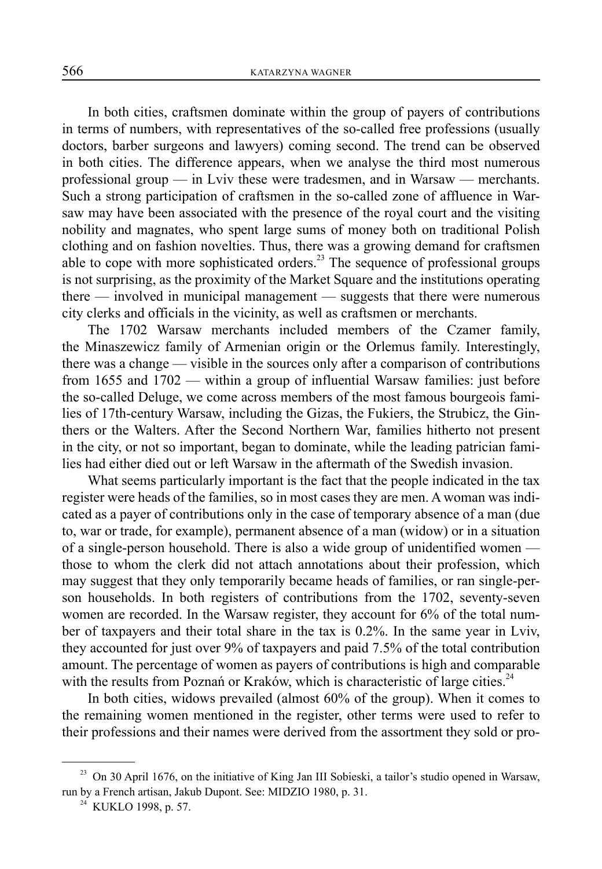In both cities, craftsmen dominate within the group of payers of contributions in terms of numbers, with representatives of the so-called free professions (usually doctors, barber surgeons and lawyers) coming second. The trend can be observed in both cities. The difference appears, when we analyse the third most numerous professional group — in Lviv these were tradesmen, and in Warsaw — merchants. Such a strong participation of craftsmen in the so-called zone of affluence in Warsaw may have been associated with the presence of the royal court and the visiting nobility and magnates, who spent large sums of money both on traditional Polish clothing and on fashion novelties. Thus, there was a growing demand for craftsmen able to cope with more sophisticated orders.<sup>23</sup> The sequence of professional groups is not surprising, as the proximity of the Market Square and the institutions operating there — involved in municipal management — suggests that there were numerous city clerks and officials in the vicinity, as well as craftsmen or merchants.

The 1702 Warsaw merchants included members of the Czamer family, the Minaszewicz family of Armenian origin or the Orlemus family. Interestingly, there was a change — visible in the sources only after a comparison of contributions from 1655 and 1702 — within a group of influential Warsaw families: just before the so-called Deluge, we come across members of the most famous bourgeois families of 17th-century Warsaw, including the Gizas, the Fukiers, the Strubicz, the Ginthers or the Walters. After the Second Northern War, families hitherto not present in the city, or not so important, began to dominate, while the leading patrician families had either died out or left Warsaw in the aftermath of the Swedish invasion.

What seems particularly important is the fact that the people indicated in the tax register were heads of the families, so in most cases they are men. A woman was indicated as a payer of contributions only in the case of temporary absence of a man (due to, war or trade, for example), permanent absence of a man (widow) or in a situation of a single-person household. There is also a wide group of unidentified women those to whom the clerk did not attach annotations about their profession, which may suggest that they only temporarily became heads of families, or ran single-person households. In both registers of contributions from the 1702, seventy-seven women are recorded. In the Warsaw register, they account for 6% of the total number of taxpayers and their total share in the tax is 0.2%. In the same year in Lviv, they accounted for just over 9% of taxpayers and paid 7.5% of the total contribution amount. The percentage of women as payers of contributions is high and comparable with the results from Poznań or Kraków, which is characteristic of large cities.<sup>24</sup>

In both cities, widows prevailed (almost 60% of the group). When it comes to the remaining women mentioned in the register, other terms were used to refer to their professions and their names were derived from the assortment they sold or pro-

<sup>&</sup>lt;sup>23</sup> On 30 April 1676, on the initiative of King Jan III Sobieski, a tailor's studio opened in Warsaw, run by a French artisan, Jakub Dupont. See: MIDZIO 1980, p. 31.

<sup>&</sup>lt;sup>24</sup> KUKLO 1998, p. 57.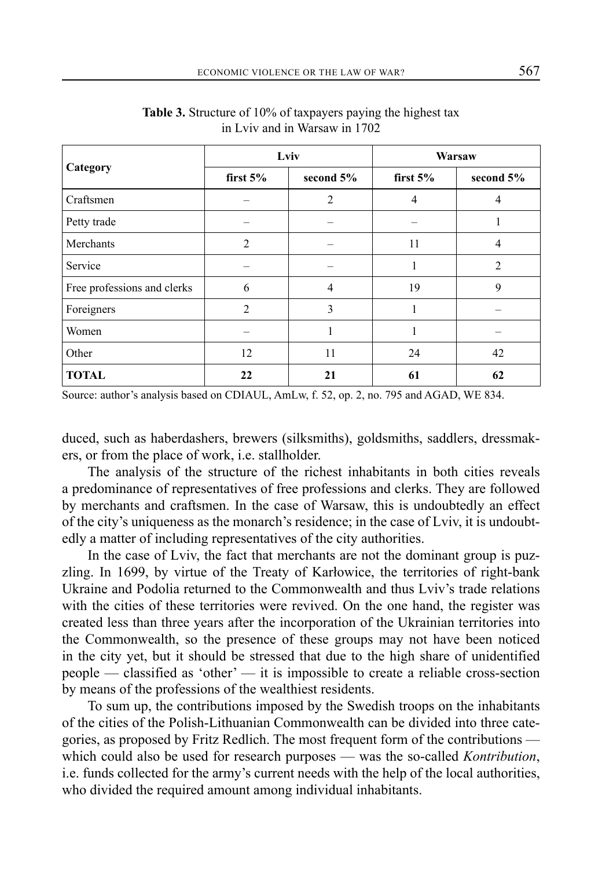|                             | Lviv       |                | Warsaw     |                |
|-----------------------------|------------|----------------|------------|----------------|
| Category                    | first $5%$ | second 5%      | first $5%$ | second $5%$    |
| Craftsmen                   |            | $\overline{2}$ | 4          | 4              |
| Petty trade                 |            |                |            |                |
| Merchants                   | 2          |                | 11         | 4              |
| Service                     |            |                |            | $\overline{2}$ |
| Free professions and clerks | 6          | 4              | 19         | 9              |
| Foreigners                  | 2          | 3              |            |                |
| Women                       |            | 1              |            |                |
| Other                       | 12         | 11             | 24         | 42             |
| <b>TOTAL</b>                | 22         | 21             | 61         | 62             |

**Table 3.** Structure of 10% of taxpayers paying the highest tax in Lviv and in Warsaw in 1702

Source: author's analysis based on CDIAUL, AmLw, f. 52, op. 2, no. 795 and AGAD, WE 834.

duced, such as haberdashers, brewers (silksmiths), goldsmiths, saddlers, dressmakers, or from the place of work, i.e. stallholder.

The analysis of the structure of the richest inhabitants in both cities reveals a predominance of representatives of free professions and clerks. They are followed by merchants and craftsmen. In the case of Warsaw, this is undoubtedly an effect of the city's uniqueness as the monarch's residence; in the case of Lviv, it is undoubtedly a matter of including representatives of the city authorities.

In the case of Lviv, the fact that merchants are not the dominant group is puzzling. In 1699, by virtue of the Treaty of Karłowice, the territories of right-bank Ukraine and Podolia returned to the Commonwealth and thus Lviv's trade relations with the cities of these territories were revived. On the one hand, the register was created less than three years after the incorporation of the Ukrainian territories into the Commonwealth, so the presence of these groups may not have been noticed in the city yet, but it should be stressed that due to the high share of unidentified people — classified as 'other' — it is impossible to create a reliable cross-section by means of the professions of the wealthiest residents.

To sum up, the contributions imposed by the Swedish troops on the inhabitants of the cities of the Polish-Lithuanian Commonwealth can be divided into three categories, as proposed by Fritz Redlich. The most frequent form of the contributions which could also be used for research purposes — was the so-called *Kontribution*, i.e. funds collected for the army's current needs with the help of the local authorities, who divided the required amount among individual inhabitants.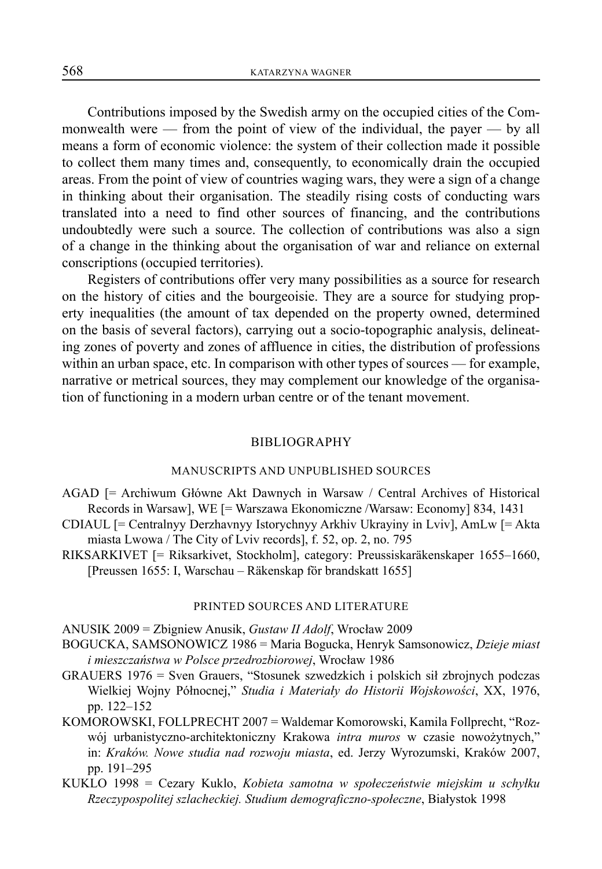Contributions imposed by the Swedish army on the occupied cities of the Commonwealth were — from the point of view of the individual, the payer — by all means a form of economic violence: the system of their collection made it possible to collect them many times and, consequently, to economically drain the occupied areas. From the point of view of countries waging wars, they were a sign of a change in thinking about their organisation. The steadily rising costs of conducting wars translated into a need to find other sources of financing, and the contributions undoubtedly were such a source. The collection of contributions was also a sign of a change in the thinking about the organisation of war and reliance on external conscriptions (occupied territories).

Registers of contributions offer very many possibilities as a source for research on the history of cities and the bourgeoisie. They are a source for studying property inequalities (the amount of tax depended on the property owned, determined on the basis of several factors), carrying out a socio-topographic analysis, delineating zones of poverty and zones of affluence in cities, the distribution of professions within an urban space, etc. In comparison with other types of sources — for example, narrative or metrical sources, they may complement our knowledge of the organisation of functioning in a modern urban centre or of the tenant movement.

#### BIBLIOGRAPHY

### MANUSCRIPTS AND UNPUBLISHED SOURCES

- AGAD [= Archiwum Główne Akt Dawnych in Warsaw / Central Archives of Historical Records in Warsaw], WE [= Warszawa Ekonomiczne /Warsaw: Economy] 834, 1431
- CDIAUL [= Centralnyy Derzhavnyy Istorychnyy Arkhiv Ukrayiny in Lviv], AmLw [= Akta miasta Lwowa / The City of Lviv records], f. 52, op. 2, no. 795
- RIKSARKIVET [= Riksarkivet, Stockholm], category: Preussiskaräkenskaper 1655–1660, [Preussen 1655: I, Warschau – Räkenskap för brandskatt 1655]

#### PRINTED SOURCES AND LITERATURE

ANUSIK 2009 = Zbigniew Anusik, *Gustaw II Adolf*, Wrocław 2009

- BOGUCKA, SAMSONOWICZ 1986 = Maria Bogucka, Henryk Samsonowicz, *Dzieje miast i mieszczaństwa w Polsce przedrozbiorowej*, Wrocław 1986
- GRAUERS 1976 = Sven Grauers, "Stosunek szwedzkich i polskich sił zbrojnych podczas Wielkiej Wojny Północnej," *Studia i Materiały do Historii Wojskowości*, XX, 1976, pp. 122–152
- KOMOROWSKI, FOLLPRECHT 2007 = Waldemar Komorowski, Kamila Follprecht, "Rozwój urbanistyczno-architektoniczny Krakowa *intra muros* w czasie nowożytnych," in: *Kraków. Nowe studia nad rozwoju miasta*, ed. Jerzy Wyrozumski, Kraków 2007, pp. 191–295
- KUKLO 1998 = Cezary Kuklo, *Kobieta samotna w społeczeństwie miejskim u schyłku Rzeczypospolitej szlacheckiej. Studium demograficzno-społeczne*, Białystok 1998